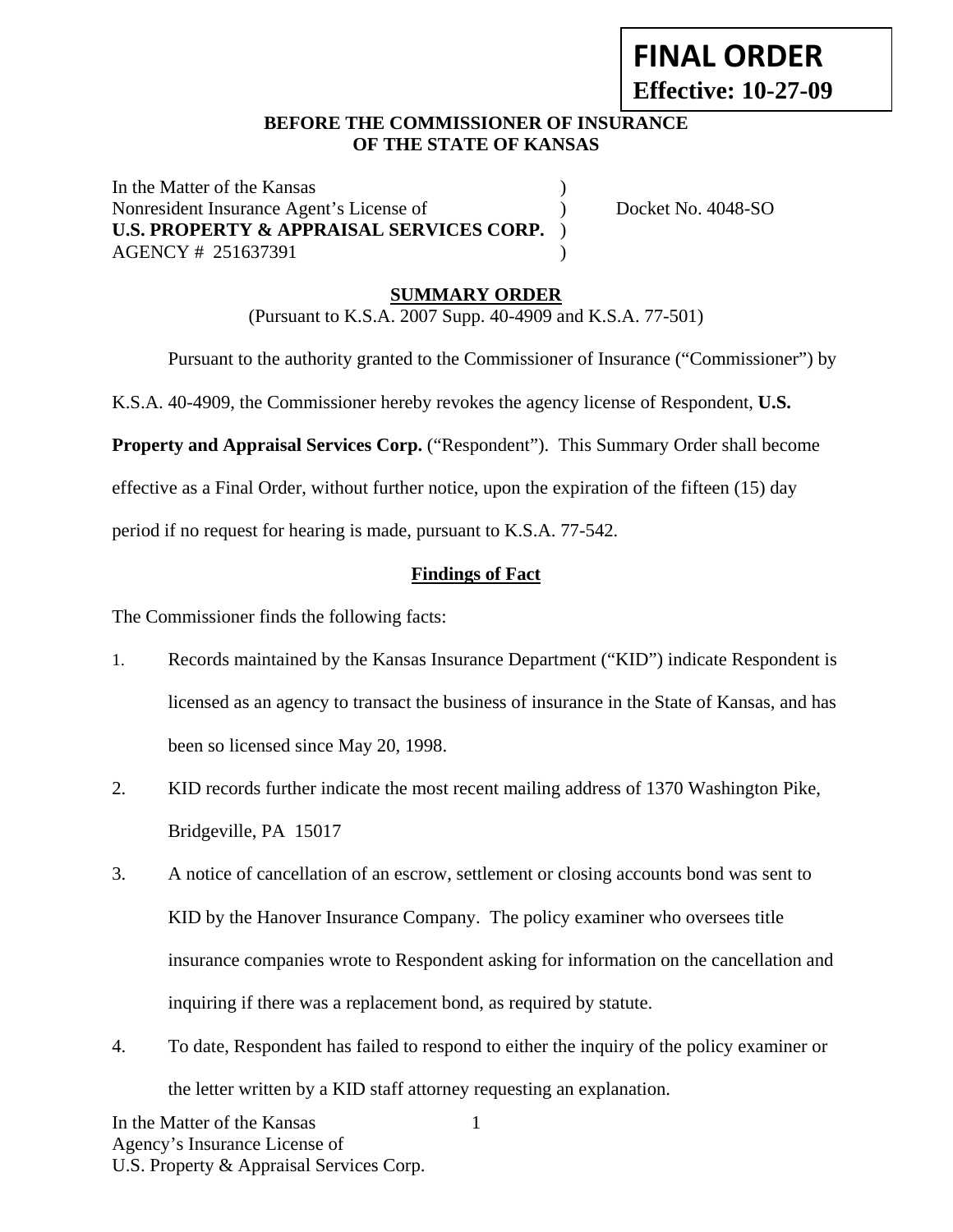# **FINAL ORDER Effective: 10-27-09**

### **BEFORE THE COMMISSIONER OF INSURANCE OF THE STATE OF KANSAS**

In the Matter of the Kansas (1) Nonresident Insurance Agent's License of  $Docket No. 4048-SO$ **U.S. PROPERTY & APPRAISAL SERVICES CORP.** ) AGENCY # 251637391 )

## **SUMMARY ORDER**

(Pursuant to K.S.A. 2007 Supp. 40-4909 and K.S.A. 77-501)

Pursuant to the authority granted to the Commissioner of Insurance ("Commissioner") by

K.S.A. 40-4909, the Commissioner hereby revokes the agency license of Respondent, **U.S.** 

**Property and Appraisal Services Corp.** ("Respondent"). This Summary Order shall become

effective as a Final Order, without further notice, upon the expiration of the fifteen (15) day

period if no request for hearing is made, pursuant to K.S.A. 77-542.

#### **Findings of Fact**

The Commissioner finds the following facts:

- 1. Records maintained by the Kansas Insurance Department ("KID") indicate Respondent is licensed as an agency to transact the business of insurance in the State of Kansas, and has been so licensed since May 20, 1998.
- 2. KID records further indicate the most recent mailing address of 1370 Washington Pike, Bridgeville, PA 15017
- 3. A notice of cancellation of an escrow, settlement or closing accounts bond was sent to KID by the Hanover Insurance Company. The policy examiner who oversees title insurance companies wrote to Respondent asking for information on the cancellation and inquiring if there was a replacement bond, as required by statute.
- 4. To date, Respondent has failed to respond to either the inquiry of the policy examiner or the letter written by a KID staff attorney requesting an explanation.

1

In the Matter of the Kansas Agency's Insurance License of U.S. Property & Appraisal Services Corp.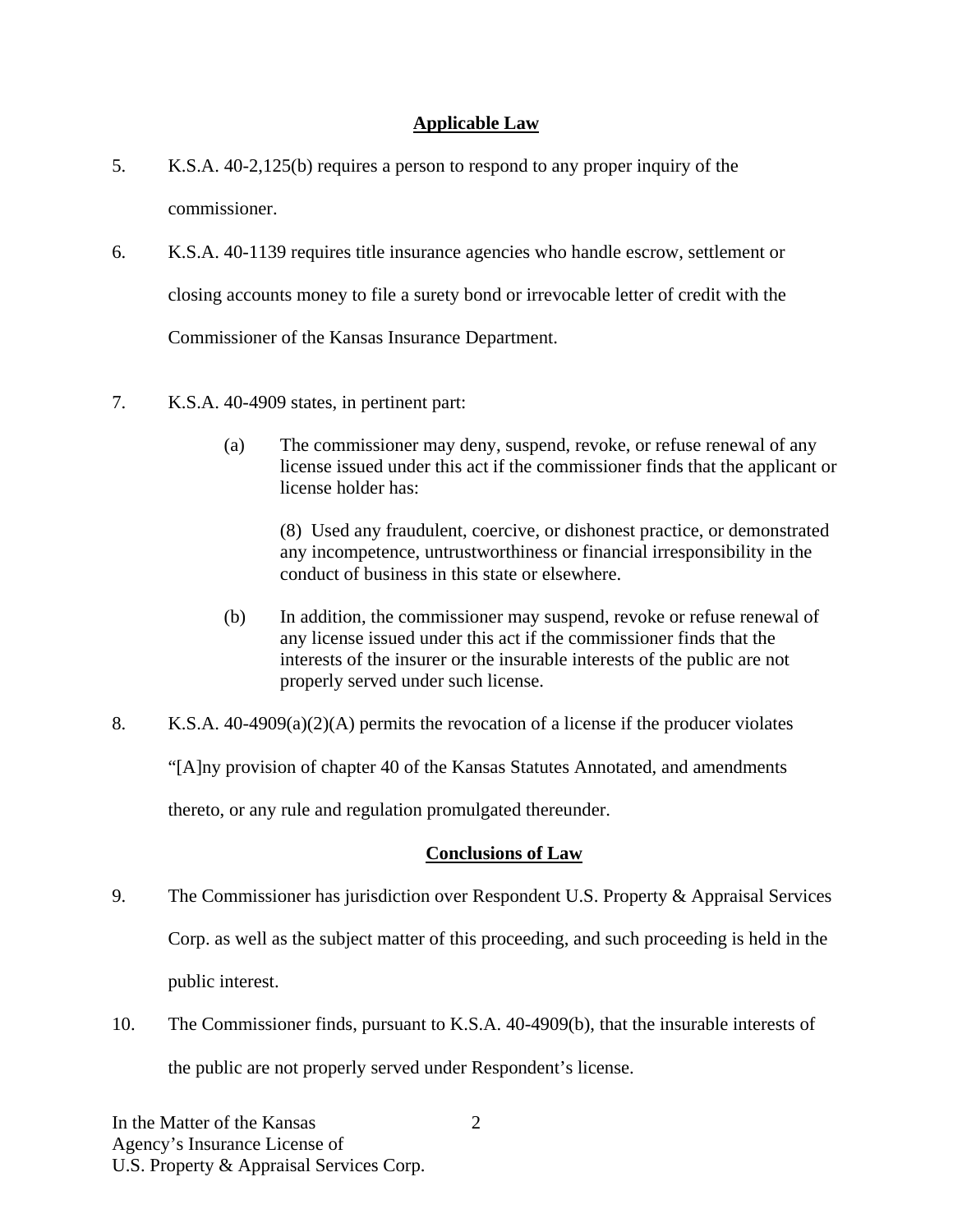## **Applicable Law**

- 5. K.S.A. 40-2,125(b) requires a person to respond to any proper inquiry of the commissioner.
- 6. K.S.A. 40-1139 requires title insurance agencies who handle escrow, settlement or closing accounts money to file a surety bond or irrevocable letter of credit with the Commissioner of the Kansas Insurance Department.
- 7. K.S.A. 40-4909 states, in pertinent part:
	- (a) The commissioner may deny, suspend, revoke, or refuse renewal of any license issued under this act if the commissioner finds that the applicant or license holder has:

(8) Used any fraudulent, coercive, or dishonest practice, or demonstrated any incompetence, untrustworthiness or financial irresponsibility in the conduct of business in this state or elsewhere.

- (b) In addition, the commissioner may suspend, revoke or refuse renewal of any license issued under this act if the commissioner finds that the interests of the insurer or the insurable interests of the public are not properly served under such license.
- 8. K.S.A. 40-4909(a)(2)(A) permits the revocation of a license if the producer violates "[A]ny provision of chapter 40 of the Kansas Statutes Annotated, and amendments thereto, or any rule and regulation promulgated thereunder.

#### **Conclusions of Law**

- 9. The Commissioner has jurisdiction over Respondent U.S. Property & Appraisal Services Corp. as well as the subject matter of this proceeding, and such proceeding is held in the public interest.
- 10. The Commissioner finds, pursuant to K.S.A. 40-4909(b), that the insurable interests of the public are not properly served under Respondent's license.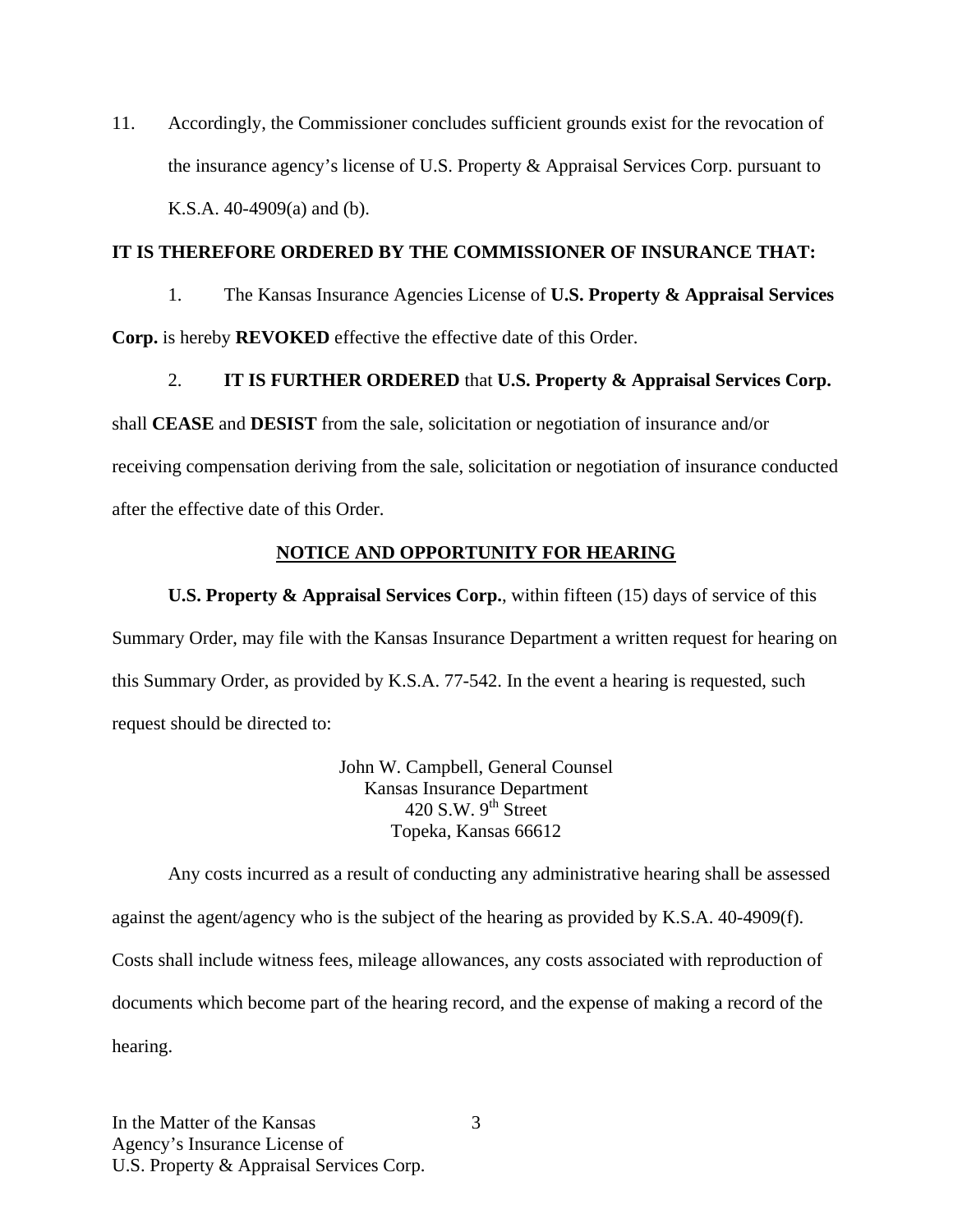11. Accordingly, the Commissioner concludes sufficient grounds exist for the revocation of the insurance agency's license of U.S. Property & Appraisal Services Corp. pursuant to K.S.A. 40-4909(a) and (b).

#### **IT IS THEREFORE ORDERED BY THE COMMISSIONER OF INSURANCE THAT:**

1. The Kansas Insurance Agencies License of **U.S. Property & Appraisal Services Corp.** is hereby **REVOKED** effective the effective date of this Order.

2. **IT IS FURTHER ORDERED** that **U.S. Property & Appraisal Services Corp.** 

shall **CEASE** and **DESIST** from the sale, solicitation or negotiation of insurance and/or receiving compensation deriving from the sale, solicitation or negotiation of insurance conducted after the effective date of this Order.

#### **NOTICE AND OPPORTUNITY FOR HEARING**

**U.S. Property & Appraisal Services Corp.**, within fifteen (15) days of service of this Summary Order, may file with the Kansas Insurance Department a written request for hearing on this Summary Order, as provided by K.S.A. 77-542. In the event a hearing is requested, such request should be directed to:

> John W. Campbell, General Counsel Kansas Insurance Department 420 S.W.  $9<sup>th</sup>$  Street Topeka, Kansas 66612

Any costs incurred as a result of conducting any administrative hearing shall be assessed against the agent/agency who is the subject of the hearing as provided by K.S.A. 40-4909(f). Costs shall include witness fees, mileage allowances, any costs associated with reproduction of documents which become part of the hearing record, and the expense of making a record of the hearing.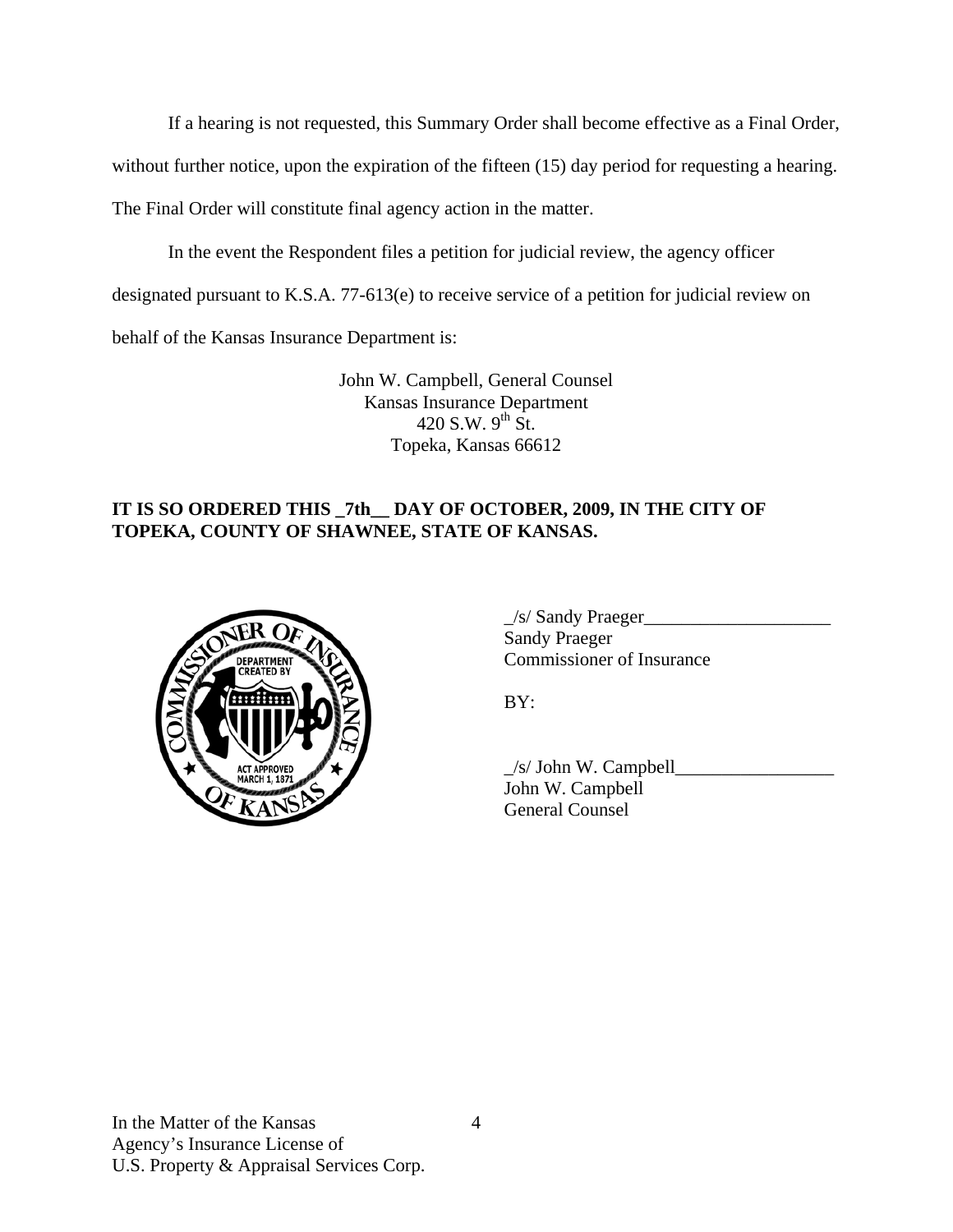If a hearing is not requested, this Summary Order shall become effective as a Final Order,

without further notice, upon the expiration of the fifteen (15) day period for requesting a hearing.

The Final Order will constitute final agency action in the matter.

In the event the Respondent files a petition for judicial review, the agency officer

designated pursuant to K.S.A. 77-613(e) to receive service of a petition for judicial review on

behalf of the Kansas Insurance Department is:

John W. Campbell, General Counsel Kansas Insurance Department 420 S.W.  $9^{th}$  St. Topeka, Kansas 66612

## **IT IS SO ORDERED THIS \_7th\_\_ DAY OF OCTOBER, 2009, IN THE CITY OF TOPEKA, COUNTY OF SHAWNEE, STATE OF KANSAS.**



|                                                  | /s/ Sandy Praeger         |
|--------------------------------------------------|---------------------------|
| NER OF<br><b>DEPARTMENT</b><br><b>CREATED BY</b> | <b>Sandy Praeger</b>      |
|                                                  | Commissioner of Insurance |

 $\angle$ s/ John W. Campbell $\angle$  John W. Campbell General Counsel